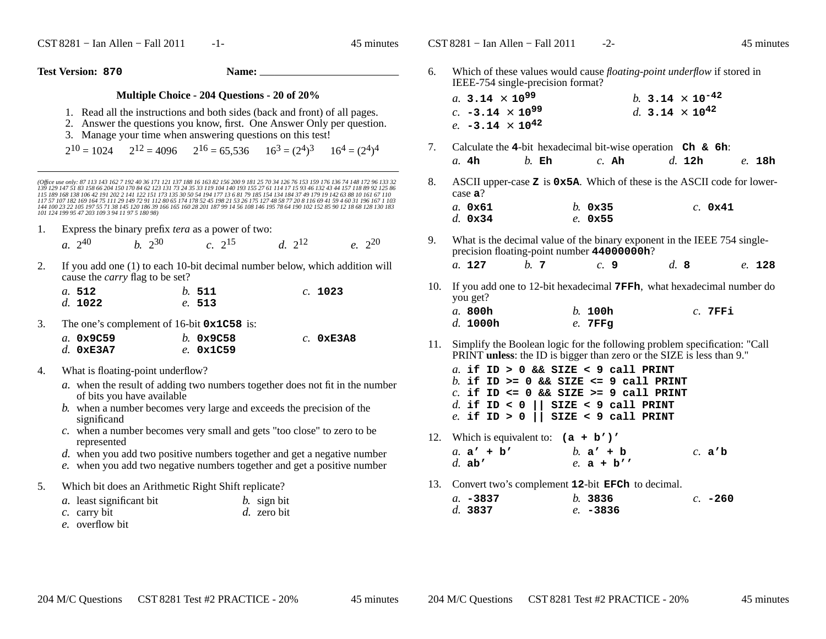$\text{CST } 8281 - \text{I}$ an Allen – Fall 2011 -1- 45 minutes

 $\text{CST } 8281 - \text{I}$ an Allen – Fall 2011 -2- 45 minutes

**Test Version: <sup>870</sup>**

**Name:**

## **Multiple Choice - 204 Questions - 20 of 20%**

- 1. Read all the instructions and both sides (back and front) of all pages.
- 2. Answer the questions you know, first. One Answer Only per question.
- 3. Manage your time when answering questions on this test!

 $2^{10} = 1024$   $2^{12} = 4096$   $2^{16} = 65,536$   $16^3 = (2^4)^3$   $16^4 = (2^4)^4$ 

(Office use only: 87 113 143 162 7 192 40 36 171 121 137 188 16 163 82 156 200 9 181 25 70 34 126 76 153 159 176 136 74 148 172 96 133 32<br>139 129 147 51 83 158 66 204 150 170 84 62 123 131 73 24 35 33 119 104 140 193 155 2 *117 57 107 182 169 164 75 111 29 149 72 91 112 80 65 174 178 52 45 198 21 53 26 175 127 48 58 77 20 8 116 69 41 59 4 60 31 196 167 1 103 144 100 23 22 105 197 55 71 38 145 120 186 39 166 165 160 28 201 187 99 14 56 108 146 195 78 64 190 102 152 85 90 12 18 68 128 130 183101 124 199 95 47 203 109 3 94 11 97 5 180 98)*

1. Express the binary prefix *tera* as a power of two:

| $a. 2^{40}$ | <i>b</i> . $2^{30}$ | $c. 2^{15}$ | d. $2^{12}$ | $e. 2^{20}$ |
|-------------|---------------------|-------------|-------------|-------------|
|             |                     |             |             |             |

2. If you add one (1) to each 10-bit decimal number below, which addition will cause the *carry* flag to be set?

| a.512   | h.511  | c. 1023 |
|---------|--------|---------|
| d. 1022 | e. 513 |         |

3. The one's complement of 16-bit **0x1C58** is:

| a. 0x9C59   | b. 0x9C58 | $c.$ 0xE3A8 |
|-------------|-----------|-------------|
| $d.$ 0xE3A7 | e. 0x1C59 |             |

- 4. What is floating-point underflow?
	- *a.* when the result of adding two numbers together does not fit in the numberof bits you have available
	- *b.* when a number becomes very large and exceeds the precision of thesignificand
	- *c.* when a number becomes very small and gets "too close" to zero to berepresented
	- *d.* when you add two positive numbers together and get a negative number
	- *e*. when you add two negative numbers together and get a positive number
- 5. Which bit does an Arithmetic Right Shift replicate?

| a. least significant bit | $b.$ sign bit |
|--------------------------|---------------|
| c. carry bit             | d. zero bit   |
|                          |               |

*e.* overflow bit

6. Which of these values would cause *floating-point underflow* if stored in IEEE-754 single-precision format?

| <i>a</i> . 3.14 $\times$ 10 <sup>99</sup> | b. 3.14 $\times$ 10 <sup>-42</sup> |
|-------------------------------------------|------------------------------------|
| c. $-3.14 \times 10^{99}$                 | d. 3.14 $\times$ 10 <sup>42</sup>  |
| e. $-3.14 \times 10^{42}$                 |                                    |

- 7. Calculate the **<sup>4</sup>**-bit hexadecimal bit-wise operation **Ch & 6h**: *a.* **4h***b.* **Eh** *c.* **Ah** *d.* **12h** *e.* **18h**
- 8. ASCII upper-case **<sup>Z</sup>** is **0x5A**. Which of these is the ASCII code for lowercase **<sup>a</sup>**?

| $a$ . 0x61       | $h.$ 0 $\times$ 35 | $c.$ 0x41 |
|------------------|--------------------|-----------|
| d. $0 \times 34$ | $e. \; 0x55$       |           |

9. What is the decimal value of the binary exponent in the IEEE 754 singleprecision floating-point number **44000000h**?

*a.* **<sup>127</sup>***b.* **<sup>7</sup>** *c.* **<sup>9</sup>** *d.* **<sup>8</sup>** *e.* **<sup>128</sup>**

10. If you add one to 12-bit hexadecimal **7FFh**, what hexadecimal number doyou get?*a.* **800h**

| a. 800h  | $b.$ 100h | $c.$ 7FFi |
|----------|-----------|-----------|
| d. 1000h | $e.$ 7FFq |           |

11. Simplify the Boolean logic for the following problem specification: "Call PRINT **unless**: the ID is bigger than zero or the SIZE is less than 9."

*a.* **if ID > 0 && SIZE < 9 call PRINT** *b.* **if ID >= 0 && SIZE <= 9 call PRINT** *c.* **if ID <= 0 && SIZE >= 9 call PRINT***d.* **if ID < 0 || SIZE < 9 call PRINT***e.* **if ID > 0 || SIZE < 9 call PRINT**

12. Which is equivalent to: **(a + b')'**

| a. $a' + b'$ | b. $a' + b$ | c. $a'b$ |
|--------------|-------------|----------|
| $d.$ ab'     | e. $a + b'$ |          |

13. Convert two's complement **<sup>12</sup>**-bit **EFCh** to decimal.

| а. –3837 | h.3836     | $c. -260$ |
|----------|------------|-----------|
| d. 3837  | $e. -3836$ |           |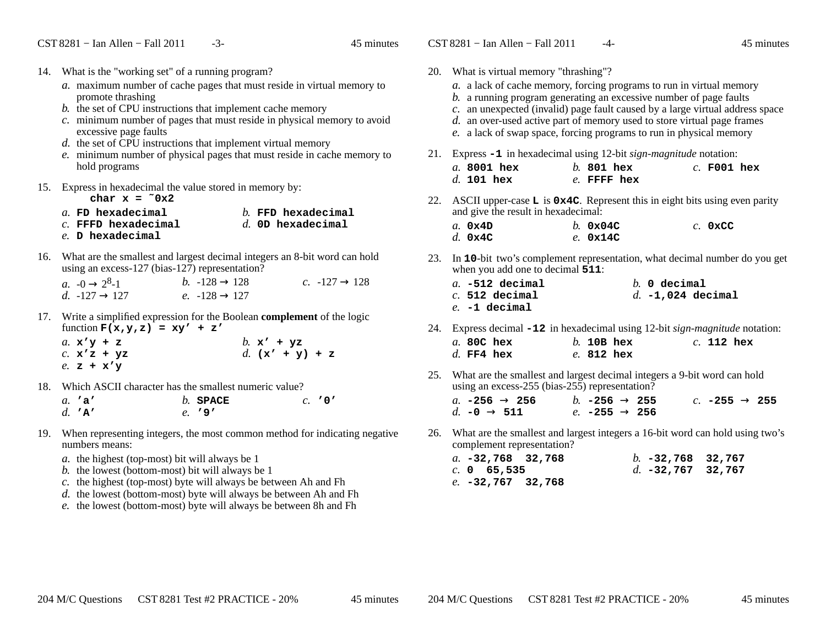- 14. What is the "working set" of a running program?
	- *a.* maximum number of cache pages that must reside in virtual memory topromote thrashing
	- *b.* the set of CPU instructions that implement cache memory
	- *c.* minimum number of pages that must reside in physical memory to avoidexcessive page faults
	- *d.* the set of CPU instructions that implement virtual memory
	- *e.* minimum number of physical pages that must reside in cache memory tohold programs
- 15. Express in hexadecimal the value stored in memory by:
	- char  $x = 0x^2$
	- *a.* **FD hexadecimal** *b.* **FFD hexadecimal** *c.* **FFFD hexadecimal** *d.* **0D hexadecimal** *e.* **<sup>D</sup> hexadecimal**
- 16. What are the smallest and largest decimal integers an 8-bit word can holdusing an excess-127 (bias-127) representation?

| $a. -0 \rightarrow 2^8-1$ | <i>b.</i> $-128 \rightarrow 128$ | c. $-127 \rightarrow 128$ |
|---------------------------|----------------------------------|---------------------------|
| d. $-127 \rightarrow 127$ | e. $-128 \rightarrow 127$        |                           |
|                           |                                  |                           |

17. Write <sup>a</sup> simplified expression for the Boolean **complement** of the logic function **F(x,y,z) = xy' + z'**

| a. $\mathbf{x} \cdot \mathbf{y} + \mathbf{z}$ |                 | b. $x' + yz$      |
|-----------------------------------------------|-----------------|-------------------|
|                                               | $c.$ $x'z + yz$ | d. $(x' + y) + z$ |
| e. $z + x'y$                                  |                 |                   |

18. Which ASCII character has the smallest numeric value?

| a. 'a'   | $b.$ SPACE | c. 707 |
|----------|------------|--------|
| d. $'A'$ | $e.$ '9'   |        |

- 19. When representing integers, the most common method for indicating negative numbers means:
	- *a.* the highest (top-most) bit will always be 1
	- *b.* the lowest (bottom-most) bit will always be 1
	- *c.* the highest (top-most) byte will always be between Ah and Fh
	- *d.* the lowest (bottom-most) byte will always be between Ah and Fh
	- *e.* the lowest (bottom-most) byte will always be between 8h and Fh
- 20. What is virtual memory "thrashing"? *a.* <sup>a</sup> lack of cache memory, forcing programs to run in virtual memory*b.* <sup>a</sup> running program generating an excessive number of page faults *c.* an unexpected (invalid) page fault caused by a large virtual address space*d.* an over-used active part of memory used to store virtual page frames*e.* <sup>a</sup> lack of swap space, forcing programs to run in physical memory21. Express **-1** in hexadecimal using 12-bit *sign-magnitude* notation: *a.* **8001 hex** *b.* **801 hex** *c.* **F001 hex** *d.* **101 hex** *e.* **FFFF hex** 22. ASCII upper-case **<sup>L</sup>** is **0x4C**. Represent this in eight bits using even parity and give the result in hexadecimal:*a.* **0x4D** *b.* **0x04C** *c.* **0xCC** *d.* **0x4C** *e.* **0x14C** 23. In **<sup>10</sup>**-bit two's complement representation, what decimal number do you get when you add one to decimal **511**: *a.* **-512 decimal** $b.$  0  $\text{decimal}$ *c.* **512 decimal** *d.* **-1,024 decimal** *e.* **-1 decimal**24. Express decimal **-12** in hexadecimal using 12-bit *sign-magnitude* notation: *a.* **80C hex** *b.* **10B hex** *c.* **112 hex** *d.* **FF4 hex** *e.* **812 hex** 25. What are the smallest and largest decimal integers a 9-bit word can holdusing an excess-255 (bias-255) representation?*b*.  $-256 \rightarrow 255$ *a.* **-256** <sup>→</sup> **<sup>256</sup>** *b.* **-256** <sup>→</sup> **<sup>255</sup>** *c.* **-255** <sup>→</sup> **<sup>255</sup>** *d.* **-0** <sup>→</sup> $\rightarrow$  **511** *e.* −255  $\rightarrow$  256
- 26. What are the smallest and largest integers a 16-bit word can hold using two'scomplement representation?

| a. $-32,768$ 32,768 |  | b. $-32,768$ 32,767 |  |
|---------------------|--|---------------------|--|
| c. 0 65,535         |  | $d. -32,767$ 32,767 |  |
| e. -32,767 32,768   |  |                     |  |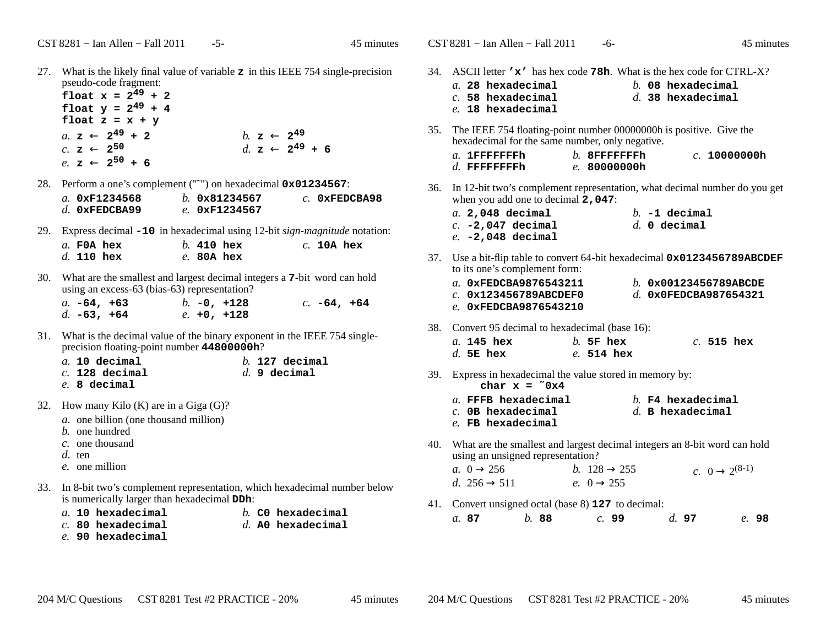27. What is the likely final value of variable **<sup>z</sup>** in this IEEE 754 single-precision pseudo-code fragment:

 $f$ **l**oat  $x = 2^{49} + 2$ **float**  $y = 2^{49} + 4$ float  $z = x + y$ *a.* **<sup>z</sup>** <sup>←</sup> $b.$  **z**  $\leftarrow$  2<sup>49</sup> *c.* **<sup>z</sup>** <sup>←</sup> $d.$  **z** ←  $2^{49}$  + **6**  $e.$  **z**  $\leftarrow$  2<sup>50</sup> + 6

28. Perform <sup>a</sup> one's complement ("˜") on hexadecimal **0x01234567**:

| a. $0xF1234568$ | $h.$ 0 $\times$ 81234567 | $c.$ 0xFEDCBA98 |
|-----------------|--------------------------|-----------------|
| $d.$ OXFEDCBA99 | e. 0xF1234567            |                 |

29. Express decimal **-10** in hexadecimal using 12-bit *sign-magnitude* notation:

| $a$ . FOA hex |  | $b.$ 410 hex | $c.$ 10A hex |
|---------------|--|--------------|--------------|
| $d.$ 110 hex  |  | $e.$ 80A hex |              |

30. What are the smallest and largest decimal integers a **<sup>7</sup>**-bit word can holdusing an excess-63 (bias-63) representation?

| a. $-64$ , $+63$ |  | $b. -0, +128$ | $c. -64, +64$ |  |
|------------------|--|---------------|---------------|--|
| d. $-63, +64$    |  | $e. +0. +128$ |               |  |

31. What is the decimal value of the binary exponent in the IEEE 754 singleprecision floating-point number **44800000h**?

| $a.$ 10 decimal  |  | $h.$ 127 decimal |
|------------------|--|------------------|
| $c.$ 128 decimal |  | $d.$ 9 decimal   |
| $e. 8$ decimal   |  |                  |

- 32. How many Kilo (K) are in a Giga (G)?
	- *a.* one billion (one thousand million)
	- *b.* one hundred
	- *c.* one thousand
	- *d.* ten
	- *e.* one million
- 33. In 8-bit two's complement representation, which hexadecimal number belowis numerically larger than hexadecimal **DDh**:
	- *a.* **10 hexadecimal**
- *b.* **C0 hexadecimal**
- *c.* **80 hexadecimal**
- *d.* **A0 hexadecimal**
- *e.* **90 hexadecimal**

34. ASCII letter **'x'** has hex code **78h**. What is the hex code for CTRL-X?

|  | $a.$ 28 hexadecimal  |  | $h$ . 08 hexadecimal |
|--|----------------------|--|----------------------|
|  | $c.$ 58 hexadecimal  |  | $d.$ 38 hexadecimal  |
|  | $e$ . 18 hexadecimal |  |                      |

35. The IEEE 754 floating-point number 000000000h is positive. Give the hexadecimal for the same number, only negative.

| $a.$ 1FFFFFFFFh  | $h$ . 8FFFFFFFFh | c. 100000000h |
|------------------|------------------|---------------|
| $d$ . FFFFFFFFFh | e. 800000000h    |               |

- 36. In 12-bit two's complement representation, what decimal number do you get when you add one to decimal **2,047**:
	- *a.* **2,048 decimal** *b.* **-1 decimal** *c.* **-2,047 decimal** $d \theta$  **decimal** *e.* **-2,048 decimal**
- 37. Use <sup>a</sup> bit-flip table to convert 64-bit hexadecimal **0x0123456789ABCDEF**to its one's complement form:

| a. 0xFEDCBA9876543211   | b. $0x00123456789ABCDE$ |
|-------------------------|-------------------------|
| $c.$ 0x123456789ABCDEF0 | d. $0x0FEDCBA987654321$ |
| e. 0xFEDCBA9876543210   |                         |

38. Convert 95 decimal to hexadecimal (base 16):

| $a.$ 145 hex | $h$ . 5F hex | $c.$ 515 hex |  |
|--------------|--------------|--------------|--|
| d. 5E hex    | $e.514$ hex  |              |  |

39. Express in hexadecimal the value stored in memory by: **char x = ˜0x4**

| cilar | х. | ∪x± |  |
|-------|----|-----|--|
|       |    |     |  |
|       |    |     |  |

- *a.* **FFFB hexadecimal** *b.* **F4 hexadecimal** *d.* **<sup>B</sup> hexadecimal**
- *c.* **0B hexadecimal***e.* **FB hexadecimal**
- 40. What are the smallest and largest decimal integers an 8-bit word can holdusing an unsigned representation?

| a. $0 \rightarrow 256$   | <i>b</i> . $128 \rightarrow 255$ | c. $0 \rightarrow 2^{(8-1)}$ |
|--------------------------|----------------------------------|------------------------------|
| d. $256 \rightarrow 511$ | e. $0 \rightarrow 255$           |                              |
|                          |                                  |                              |

41. Convert unsigned octal (base 8) **<sup>127</sup>** to decimal: *a.* **87***b.* **<sup>88</sup>** *c.* **<sup>99</sup>** *d.* **<sup>97</sup>** *e.* **<sup>98</sup>**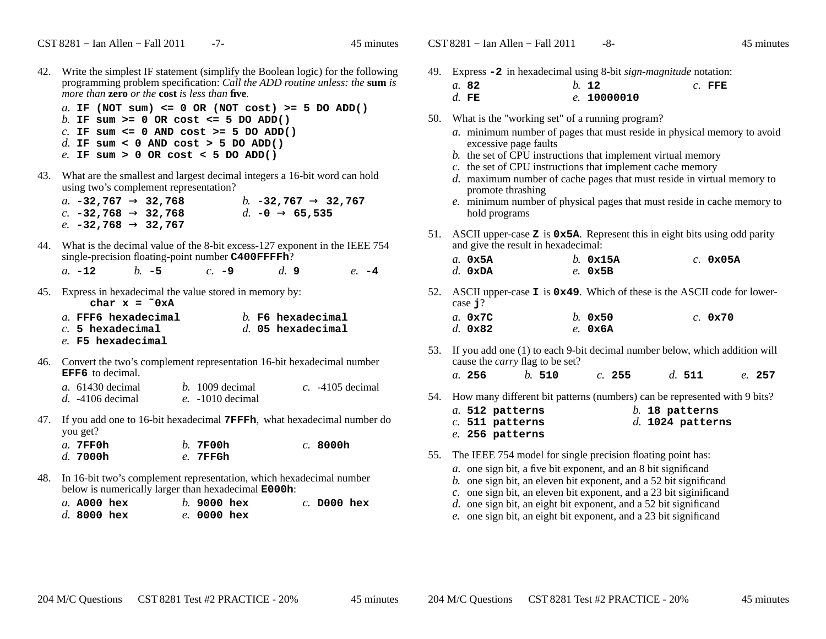- 42. Write the simplest IF statement (simplify the Boolean logic) for the following programming problem specification: *Call the ADD routine unless: the* **sum** *is more than* **zero** *or the* **cost** *is less than* **five***.*
	- *a.* **IF (NOT sum) <= 0 OR (NOT cost) >= 5 DO ADD()***b.* **IF sum >= 0 OR cost <= 5 DO ADD()** *c.* **IF sum <= 0 AND cost >= 5 DO ADD()***d.* **IF sum < 0 AND cost > 5 DO ADD()***e.* **IF sum > 0 OR cost < 5 DO ADD()**
- 43. What are the smallest and largest decimal integers a 16-bit word can holdusing two's complement representation?

| $a.$ –32,767 $\rightarrow$ 32,768  | b. $-32,767 \rightarrow 32,767$ |
|------------------------------------|---------------------------------|
| $c.$ -32,768 $\rightarrow$ 32,768  | d. $-0 \rightarrow 65,535$      |
| $e$ . –32,768 $\rightarrow$ 32,767 |                                 |
|                                    |                                 |

44. What is the decimal value of the 8-bit excess-127 exponent in the IEEE 754single-precision floating-point number **C400FFFFh**?

 $d_{\cdot}$  9 *a.* **-12***b.* **-5** *c.* **-9** *d.* **<sup>9</sup>** *e.* **-4**

- 45. Express in hexadecimal the value stored in memory by: char  $x = 0xA$ 
	- *a.* **FFF6 hexadecimal** *b.* **F6 hexadecimal** *c.* **<sup>5</sup> hexadecimal** *d.* **05 hexadecimal** *e.* **F5 hexadecimal**
- 46. Convert the two's complement representation 16-bit hexadecimal number**EFF6** to decimal.

| <i>a</i> . 61430 decimal | $b. 1009$ decimal  | $c.$ -4105 decimal |
|--------------------------|--------------------|--------------------|
| $d.$ -4106 decimal       | $e. -1010$ decimal |                    |

47. If you add one to 16-bit hexadecimal **7FFFh**, what hexadecimal number doyou get?

| $a$ . 7FF0h          | $b.7$ F00h | $c.$ 8000h |
|----------------------|------------|------------|
| $d$ . 7000 ${\tt h}$ | $e.$ 7FFGh |            |

48. In 16-bit two's complement representation, which hexadecimal number below is numerically larger than hexadecimal **E000h**:

| <i>a</i> . A000 hex |  | $b.$ 9000 hex |  | $c.$ D000 hex |  |
|---------------------|--|---------------|--|---------------|--|
| $d.$ 8000 hex       |  | $e.$ 0000 hex |  |               |  |

49. Express **-2** in hexadecimal using 8-bit *sign-magnitude* notation:

| a. 82   | $h_{1}$ 12  | $c.$ FFE |
|---------|-------------|----------|
| $d.$ FE | e. 10000010 |          |

- 50. What is the "working set" of a running program?
	- *a.* minimum number of pages that must reside in physical memory to avoidexcessive page faults
	- *b.* the set of CPU instructions that implement virtual memory
	- *c.* the set of CPU instructions that implement cache memory
	- *d.* maximum number of cache pages that must reside in virtual memory topromote thrashing
	- *e.* minimum number of physical pages that must reside in cache memory tohold programs
- 51. ASCII upper-case **<sup>Z</sup>** is **0x5A**. Represent this in eight bits using odd parity and give the result in hexadecimal:

| a. $0x5A$          | $h.$ 0x15A | $c.$ 0x05A |
|--------------------|------------|------------|
| $d.$ $0 \times DA$ | $e.$ 0x5B  |            |

- 52. ASCII upper-case **<sup>I</sup>** is **0x49**. Which of these is the ASCII code for lowercase **j**? *a.* **0x7C**
	- *b.* **0x50** *c.* **0x70** *d.* **0x82***e.* **0x6A**
- 53. If you add one (1) to each 9-bit decimal number below, which addition will cause the *carry* flag to be set?
	- *a.* **256***b.* **<sup>510</sup>** *c.* **<sup>255</sup>** *d.* **<sup>511</sup>** *e.* **<sup>257</sup>**
- 54. How many different bit patterns (numbers) can be represented with 9 bits?
	- *a.* **512 patterns** *b.* **18 patterns** *c.* **511 patterns** *d.* **1024 patterns** *e.* **256 patterns**
- 55. The IEEE 754 model for single precision floating point has:
	- *a.* one sign bit, a five bit exponent, and an 8 bit significand
	- *b.* one sign bit, an eleven bit exponent, and a 52 bit significand
	- *c.* one sign bit, an eleven bit exponent, and a 23 bit siginificand
	- *d.* one sign bit, an eight bit exponent, and a 52 bit significand
	- *e.* one sign bit, an eight bit exponent, and a 23 bit significand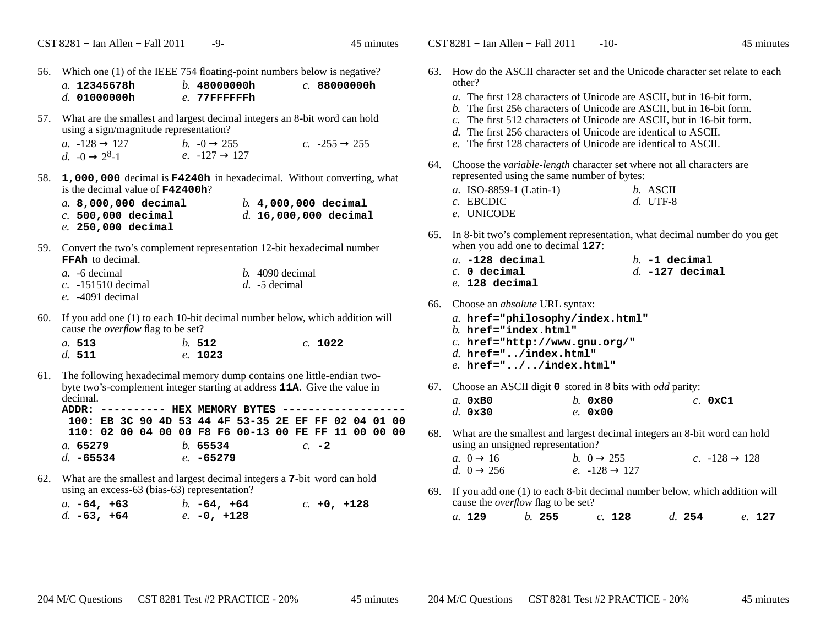56. Which one (1) of the IEEE 754 floating-point numbers below is negative? *a.* **12345678h** *b.* **48000000h** *c.* **88000000h** *d.* **01000000h** *e.* **77FFFFFFh** 57. What are the smallest and largest decimal integers an 8-bit word can holdusing a sign/magnitude representation?b.  $-0 \rightarrow 255$ *a.* -128 <sup>→</sup> $\rightarrow$  127 *b.*  $-0 \rightarrow 255$  *c.*  $-255 \rightarrow 255$ <br>  $\rightarrow$  258 *c*  $d. \neg 0 \rightarrow$  $\rightarrow$  2<sup>8</sup>-1 *e.* -127  $\rightarrow$  127 58. **1,000,000** decimal is **F4240h** in hexadecimal. Without converting, what is the decimal value of **F42400h**?*a.* **8,000,000 decimal** *b.* **4,000,000 decimal** *c.* **500,000 decimal** *d.* **16,000,000 decimal** *e.* **250,000 decimal**59. Convert the two's complement representation 12-bit hexadecimal number**FFAh** to decimal. *a.* -6 decimal *b.* 4090 decimal *c.* -151510 decimal *d.* -5 decimal *e.* -4091 decimal60. If you add one (1) to each 10-bit decimal number below, which addition will cause the *overflow* flag to be set? *a.* **513** *b.* **<sup>512</sup>** *c.* **<sup>1022</sup>** *d.* **511** *e.* **<sup>1023</sup>** 61. The following hexadecimal memory dump contains one little-endian twobyte two's-complement integer starting at address **11A**. Give the value in decimal. **ADDR: ---------- HEX MEMORY BYTES ------------------- 100: EB 3C 90 4D 53 44 4F 53-35 2E EF FF 02 04 01 00 110: 02 00 04 00 00 F8 F6 00-13 00 FE FF 11 00 00 00***a.* **65279** *b.* **<sup>65534</sup>** *c.* **-2** *d.* **-65534** *e.* **-65279** 62. What are the smallest and largest decimal integers a **<sup>7</sup>**-bit word can holdusing an excess-63 (bias-63) representation?

| a. $-64$ , $+63$ |  | b. $-64$ , $+64$ |  | $c. +0, +128$ |
|------------------|--|------------------|--|---------------|
| $d. -63, +64$    |  | e. $-0$ , $+128$ |  |               |

|     | CST 8281 – Ian Allen – Fall 2011                                                                                                                                                                                                                                                                                                                                                                                                                     | $-10-$                                              | 45 minutes                           |  |
|-----|------------------------------------------------------------------------------------------------------------------------------------------------------------------------------------------------------------------------------------------------------------------------------------------------------------------------------------------------------------------------------------------------------------------------------------------------------|-----------------------------------------------------|--------------------------------------|--|
| 63. | How do the ASCII character set and the Unicode character set relate to each<br>other?<br>a. The first 128 characters of Unicode are ASCII, but in 16-bit form.<br>b. The first 256 characters of Unicode are ASCII, but in 16-bit form.<br>c. The first 512 characters of Unicode are ASCII, but in 16-bit form.<br>d. The first 256 characters of Unicode are identical to ASCII.<br>e. The first 128 characters of Unicode are identical to ASCII. |                                                     |                                      |  |
| 64. | Choose the variable-length character set where not all characters are<br>represented using the same number of bytes:<br>a. ISO-8859-1 (Latin-1)<br>$c.$ EBCDIC<br>e. UNICODE                                                                                                                                                                                                                                                                         | b. ASCII<br>$d.$ UTF-8                              |                                      |  |
| 65. | In 8-bit two's complement representation, what decimal number do you get<br>when you add one to decimal 127:<br>$a. -128$ decimal<br>$c. 0$ decimal<br>$e.$ 128 decimal                                                                                                                                                                                                                                                                              |                                                     | $b. -1$ decimal<br>$d. -127$ decimal |  |
| 66. | Choose an <i>absolute</i> URL syntax:<br>$a.$ href="philosophy/index.html"<br>$b.$ href="index.html"<br>$c.$ href="http://www.gnu.org/"<br>$d.$ href="/index.html"<br>$e.$ href="//index.html"                                                                                                                                                                                                                                                       |                                                     |                                      |  |
| 67. | Choose an ASCII digit 0 stored in 8 bits with odd parity:                                                                                                                                                                                                                                                                                                                                                                                            |                                                     |                                      |  |
|     | $a. 0 \times B0$<br>d. $0 \times 30$                                                                                                                                                                                                                                                                                                                                                                                                                 | $h.$ 0 $\times$ 80<br>$e.$ 0 $\times$ 00            | $c.$ 0xC1                            |  |
| 68. | What are the smallest and largest decimal integers an 8-bit word can hold<br>using an unsigned representation?<br>a. $0 \rightarrow 16$<br>d. $0 \rightarrow 256$                                                                                                                                                                                                                                                                                    | b. $0 \rightarrow 255$<br>e. $-128 \rightarrow 127$ | $c. -128 \rightarrow 128$            |  |
| 69. | If you add one (1) to each 8-bit decimal number below, which addition will<br>cause the <i>overflow</i> flag to be set?                                                                                                                                                                                                                                                                                                                              |                                                     |                                      |  |
|     | a. 129<br>b. 255                                                                                                                                                                                                                                                                                                                                                                                                                                     | c. 128                                              | $d.$ 254<br>e. 127                   |  |
|     |                                                                                                                                                                                                                                                                                                                                                                                                                                                      |                                                     |                                      |  |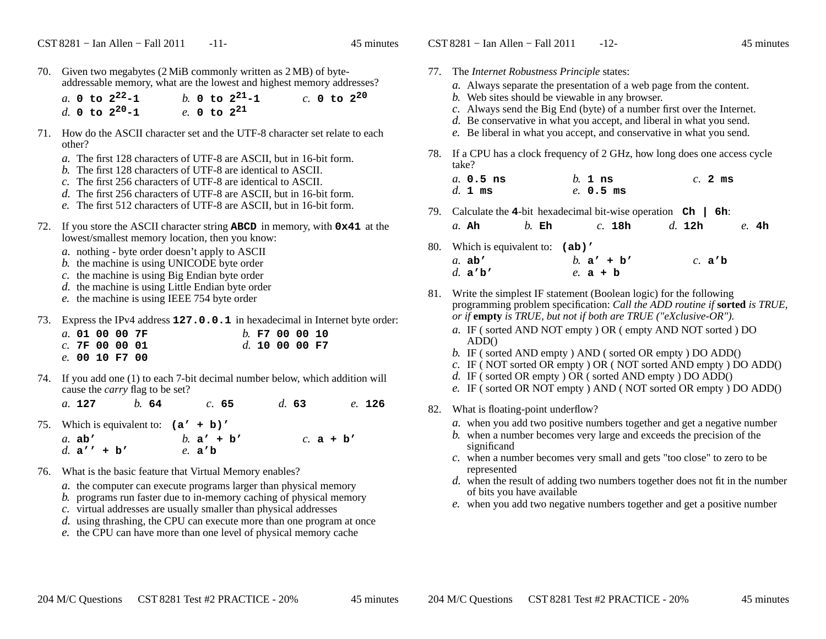70. Given two megabytes (2 MiB commonly written as 2 MB) of byteaddressable memory, what are the lowest and highest memory addresses?

|  | a. 0 to $2^{22} - 1$ |  | b. 0 to $2^{21} - 1$ |  |  | $c. 0 to 2^{20}$ |
|--|----------------------|--|----------------------|--|--|------------------|
|  | d. 0 to $2^{20} - 1$ |  | e. 0 to $2^{21}$     |  |  |                  |

- 71. How do the ASCII character set and the UTF-8 character set relate to eachother?
	- *a.* The first 128 characters of UTF-8 are ASCII, but in 16-bit form.
	- *b.* The first 128 characters of UTF-8 are identical to ASCII.
	- *c.* The first 256 characters of UTF-8 are identical to ASCII.
	- *d.* The first 256 characters of UTF-8 are ASCII, but in 16-bit form.
	- *e.* The first 512 characters of UTF-8 are ASCII, but in 16-bit form.
- 72. If you store the ASCII character string **ABCD** in memory, with **0x41** at the lowest/smallest memory location, then you know:
	- *a.* nothing byte order doesn't apply to ASCII
	- *b.* the machine is using UNICODE byte order
	- *c.* the machine is using Big Endian byte order
	- *d.* the machine is using Little Endian byte order
	- *e.* the machine is using IEEE 754 byte order
- 73. Express the IPv4 address **127.0.0.1** in hexadecimal in Internet byte order:

|  | a. 01 00 00 7F   |  | $h$ . F7 00 00 10 |  |  |
|--|------------------|--|-------------------|--|--|
|  | $c.$ 7F 00 00 01 |  | $d.$ 10 00 00 F7  |  |  |
|  | e. 00 10 F7 00   |  |                   |  |  |

74. If you add one (1) to each 7-bit decimal number below, which addition will cause the *carry* flag to be set?

*a.* **<sup>127</sup>***b.* **<sup>64</sup>** *c.* **<sup>65</sup>** *d.* **<sup>63</sup>** *e.* **<sup>126</sup>**

- 75. Which is equivalent to: **(a' + b)'** *b.* **<sup>a</sup>' + b'** *c.* **a+b'** *a.* **ab'***d.* **<sup>a</sup>'' + b'***e.* **<sup>a</sup>'b**
- 76. What is the basic feature that Virtual Memory enables?
	- *a.* the computer can execute programs larger than physical memory
	- *b.* programs run faster due to in-memory caching of physical memory
	- *c.* virtual addresses are usually smaller than physical addresses
	- *d.* using thrashing, the CPU can execute more than one program at once
	- *e.* the CPU can have more than one level of physical memory cache
- 77. The *Internet Robustness Principle* states: *a.* Always separate the presentation of a web page from the content. *b.* Web sites should be viewable in any browser. *c.* Always send the Big End (byte) of a number first over the Internet. *d.* Be conservative in what you accept, and liberal in what you send. *e.* Be liberal in what you accept, and conservative in what you send. 78. If <sup>a</sup> CPU has a clock frequency of <sup>2</sup> GHz, how long does one access cycletake? *a.* **0.5 ns** *b.* **<sup>1</sup> ns** *c.* **<sup>2</sup> ms** *d.* **<sup>1</sup> ms** *e.* **0.5 ms**
	- 79. Calculate the **<sup>4</sup>**-bit hexadecimal bit-wise operation **Ch | 6h**: *a.* **Ah***b.* **Eh** *c.* **18h** *d.* **12h** *e.* **4h**
	- 80. Which is equivalent to: **(ab)'**
		- *b.* **<sup>a</sup>' + b'** *c.* **<sup>a</sup>'b** *a.* **ab'***d.* **<sup>a</sup>'b'***e.* **a+b**
	- 81. Write the simplest IF statement (Boolean logic) for the following programming problem specification: *Call the ADD routine if* **sorted** *is TRUE, or if* **empty** *is TRUE, but not if both are TRUE ("eXclusive-OR").*
		- *a.* IF ( sorted AND NOT empty ) OR ( empty AND NOT sorted ) DOADD()
		- *b.* IF ( sorted AND empty ) AND ( sorted OR empty ) DO ADD()
		- *c.* IF ( NOT sorted OR empty ) OR ( NOT sorted AND empty ) DO ADD()
		- *d.* IF ( sorted OR empty ) OR ( sorted AND empty ) DO ADD()
		- *e.* IF ( sorted OR NOT empty ) AND ( NOT sorted OR empty ) DO ADD()
	- 82. What is floating-point underflow?
		- *a.* when you add two positive numbers together and get a negative number
		- *b.* when a number becomes very large and exceeds the precision of thesignificand
		- *c.* when a number becomes very small and gets "too close" to zero to berepresented
		- *d.* when the result of adding two numbers together does not fit in the numberof bits you have available
		- *e*. when you add two negative numbers together and get a positive number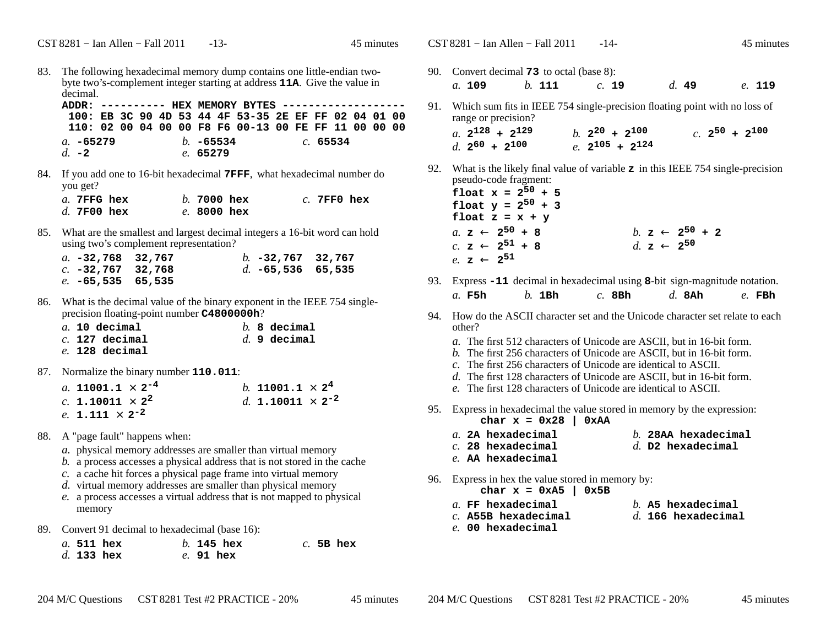CST 8281 – Ian Allen – Fall 2011 - 14- 45 minutes

83. The following hexadecimal memory dump contains one little-endian twobyte two's-complement integer starting at address **11A**. Give the value in decimal.

 **ADDR: ---------- HEX MEMORY BYTES ------------------- 100: EB 3C 90 4D 53 44 4F 53-35 2E EF FF 02 04 01 00 110: 02 00 04 00 00 F8 F6 00-13 00 FE FF 11 00 00 00***a.* **-65279** *b.* **-65534** *c.* **<sup>65534</sup>** *d.* **-2***e.* **<sup>65279</sup>**

84. If you add one to 16-bit hexadecimal **7FFF**, what hexadecimal number doyou get?

| a. 7FFG hex   |  | $b.7000$ hex        |  | $c.$ 7FF0 hex |  |
|---------------|--|---------------------|--|---------------|--|
| $d.$ 7F00 hex |  | <i>e</i> . 8000 hex |  |               |  |

85. What are the smallest and largest decimal integers a 16-bit word can holdusing two's complement representation?

| a. $-32,768$ 32,767 |  | b. $-32,767$ 32,767 |  |
|---------------------|--|---------------------|--|
| c. $-32,767$ 32,768 |  | d. $-65,536$ 65,535 |  |
| e. $-65,535$ 65,535 |  |                     |  |

86. What is the decimal value of the binary exponent in the IEEE 754 singleprecision floating-point number **C4800000h**?

|  | $a.$ 10 decimal  |  | $b. 8$ decimal |
|--|------------------|--|----------------|
|  | $c.$ 127 decimal |  | $d.$ 9 decimal |
|  | $e.$ 128 decimal |  |                |

87. Normalize the binary number **110.011**:

| a. 11001.1 $\times$ 2 <sup>-4</sup> |  | b. 11001.1 $\times$ 2 <sup>4</sup>  |  |
|-------------------------------------|--|-------------------------------------|--|
| c. 1.10011 $\times$ 2 <sup>2</sup>  |  | d. 1.10011 $\times$ 2 <sup>-2</sup> |  |
| e. 1.111 $\times$ 2 <sup>-2</sup>   |  |                                     |  |

- 88. A "page fault" happens when:
	- *a.* physical memory addresses are smaller than virtual memory
	- *b.* <sup>a</sup> process accesses a physical address that is not stored in the cache
	- *c.* <sup>a</sup> cache hit forces a physical page frame into virtual memory
	- *d.* virtual memory addresses are smaller than physical memory
	- *e.* <sup>a</sup> process accesses a virtual address that is not mapped to physicalmemory
- 89. Convert 91 decimal to hexadecimal (base 16):

|  | a. 511 hex | $h.$ 145 hex |  | $c.$ 5B hex |
|--|------------|--------------|--|-------------|
|  | d. 133 hex | $e.$ 91 hex  |  |             |

- 90. Convert decimal **73** to octal (base 8): *a.* **109***b.* **<sup>111</sup>** *c.* **<sup>19</sup>** *d.* **<sup>49</sup>** *e.* **<sup>119</sup>**
- 91. Which sum fits in IEEE 754 single-precision floating point with no loss of range or precision?*a*.  $2^{128}$  +  $2^{129}$  $\binom{1}{2}$   $\binom{2}{2}$   $\binom{2}{3}$   $\binom{2}{4}$   $\binom{2}{5}$   $\binom{2}{1}$
- 92. What is the likely final value of variable **<sup>z</sup>** in this IEEE 754 single-precision pseudo-code fragment:
	- **float**  $x = 2^{50} + 5$ **float**  $y = 2^{50} + 3$ float  $z = x + y$ *a.* **z** ←  $2^{50}$  + 8  $\frac{b}{d}$  **z**  $\leftarrow$  2<sup>50</sup> + 2<br>  $\frac{d}{dx}$  **z**  $\leftarrow$  2<sup>50</sup>  $c.$  **z**  $\leftarrow$  **2**<sup>51</sup> + **8** *d.* **z**  $\leftarrow$  **2**<sup>50</sup> *e.* **<sup>z</sup>** <sup>←</sup> **<sup>2</sup><sup>51</sup>**

*d.* **<sup>2</sup><sup>60</sup> <sup>+</sup> <sup>2</sup><sup>100</sup>** *e.* **<sup>2</sup><sup>105</sup> <sup>+</sup> <sup>2</sup><sup>124</sup>**

- 93. Express **-11** decimal in hexadecimal using **<sup>8</sup>**-bit sign-magnitude notation. *a.* **F5h***b.* **1Bh** *c.* **8Bh** *d.* **8Ah** *e.* **FBh**
- 94. How do the ASCII character set and the Unicode character set relate to eachother?
	- *a.* The first 512 characters of Unicode are ASCII, but in 16-bit form.
	- *b.* The first 256 characters of Unicode are ASCII, but in 16-bit form.
	- *c.* The first 256 characters of Unicode are identical to ASCII.
	- *d.* The first 128 characters of Unicode are ASCII, but in 16-bit form.
	- *e.* The first 128 characters of Unicode are identical to ASCII.
- 95. Express in hexadecimal the value stored in memory by the expression: char  $x = 0x28$  | 0xAA
	- *a.* **2A hexadecimal**
- *b.* **28AA hexadecimal**
- *d.* **D2 hexadecimal**
- *e.* **AA hexadecimal**
- 96. Express in hex the value stored in memory by:
	- **char x = 0xA5 | 0x5B**
- *b.* **A5 hexadecimal**

*d.* **166 hexadecimal**

- *a.* **FF hexadecimal***c.* **A55B hexadecimal**
- *e.* **00 hexadecimal**

*c.* **28 hexadecimal**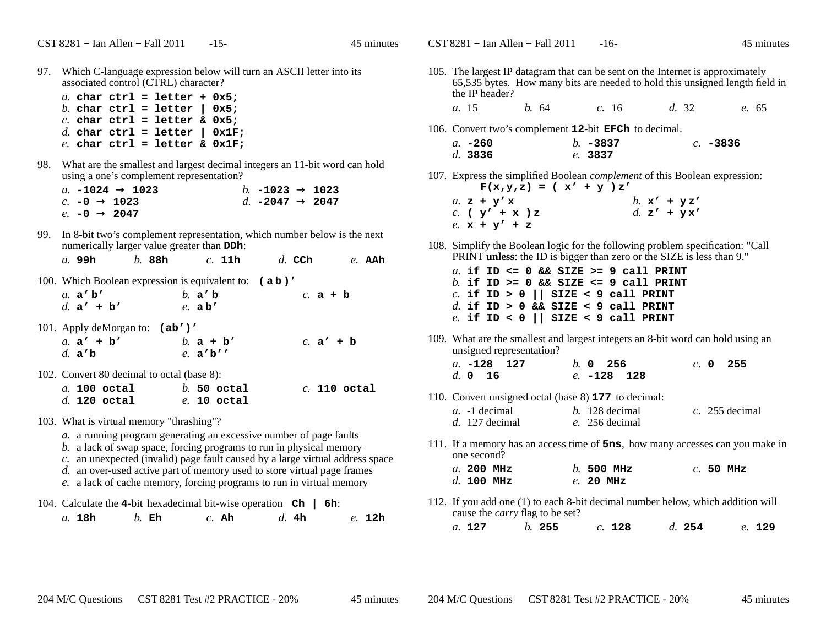CST 8281 – Ian Allen – Fall 2011 - 16- 45 minutes

97. Which C-language expression below will turn an ASCII letter into its associated control (CTRL) character?

|  |  | $a$ . char ctrl = letter + 0x5;    |  |
|--|--|------------------------------------|--|
|  |  | $b$ . char ctrl = letter   0x5;    |  |
|  |  | $c.$ char ctrl = letter & 0x5;     |  |
|  |  | $d.$ char ctrl = letter   0x1F;    |  |
|  |  | e. char $ctrl = letter$ & $0x1F$ ; |  |

98. What are the smallest and largest decimal integers an 11-bit word can holdusing a one's complement representation?

|                            | $a.$ –1024 $\rightarrow$ 1023 | b. $-1023 \rightarrow 1023$ |  |
|----------------------------|-------------------------------|-----------------------------|--|
| $c.$ –0 $\rightarrow$ 1023 |                               | d. $-2047 \rightarrow 2047$ |  |
| $e.$ –0 $\rightarrow$ 2047 |                               |                             |  |
|                            |                               |                             |  |

99. In 8-bit two's complement representation, which number below is the next numerically larger value greater than **DDh**:

*a.* **99h***b.* **88h** *c.* **11h** *d.* **CCh** *e.* **AAh**

| 100. Which Boolean expression is equivalent to: (ab)' |             |  |             |  |
|-------------------------------------------------------|-------------|--|-------------|--|
| a. $a'b'$                                             | b. $a'b$    |  | c. $a + b$  |  |
| d. $a' + b'$                                          | $e$ . ab'   |  |             |  |
| 101. Apply deMorgan to: $(ab')'$                      |             |  |             |  |
| a. $a' + b'$                                          | b. $a + b'$ |  | c. $a' + b$ |  |
| d. $a'b$                                              | e. a'b'     |  |             |  |
| 102. Convert 80 decimal to octal (base 8):            |             |  |             |  |

|  | $a.$ 100 octal |  | $h.50$ octal  |  | $c.$ 110 octal |
|--|----------------|--|---------------|--|----------------|
|  | $d.$ 120 octal |  | $e.$ 10 octal |  |                |

- 103. What is virtual memory "thrashing"?
	- *a.* <sup>a</sup> running program generating an excessive number of page faults
	- *b.* <sup>a</sup> lack of swap space, forcing programs to run in physical memory
	- *c.* an unexpected (invalid) page fault caused by a large virtual address space
	- *d.* an over-used active part of memory used to store virtual page frames
	- *e.* <sup>a</sup> lack of cache memory, forcing programs to run in virtual memory

|  |        |               |         | 104. Calculate the 4-bit hexadecimal bit-wise operation $\mathbf{ch}$   6h: |         |  |        |
|--|--------|---------------|---------|-----------------------------------------------------------------------------|---------|--|--------|
|  | a. 18h | <i>b</i> . Eh | $c.$ Ah |                                                                             | d. $4h$ |  | e. 12h |

105. The largest IP datagram that can be sent on the Internet is approximately 65,535 bytes. How many bits are needed to hold this unsigned length field inthe IP header?*a.* 15 *b.* <sup>64</sup> *c.* <sup>16</sup> *d.* <sup>32</sup> *e.* <sup>65</sup> 106. Convert two's complement **<sup>12</sup>**-bit **EFCh** to decimal. *a.* **-260** *b.* **-3837** *c.* **-3836** *d.* **3836** *e.* **<sup>3837</sup>** 107. Express the simplified Boolean *complement* of this Boolean expression:  $F(x,y,z) = (x' + y)z'$  $a. \mathbf{z} + \mathbf{y'} \mathbf{x}$  $\frac{b}{d}$ . **x'** + **yx'**<br> **d. z'** + **yx'** *c.* **( <sup>y</sup>' <sup>+</sup> <sup>x</sup> ) <sup>z</sup>** *d.* **<sup>z</sup>' + y <sup>x</sup>'** *e.* **<sup>x</sup> <sup>+</sup> <sup>y</sup>' <sup>+</sup> <sup>z</sup>** 108. Simplify the Boolean logic for the following problem specification: "Call PRINT **unless**: the ID is bigger than zero or the SIZE is less than 9." *a.* **if ID <= 0 && SIZE >= 9 call PRINT** *b.* **if ID >= 0 && SIZE <= 9 call PRINT***c.* **if ID > 0 || SIZE < 9 call PRINT** *d.* **if ID > 0 && SIZE < 9 call PRINT** *e.* **if ID < 0 || SIZE < 9 call PRINT**109. What are the smallest and largest integers an 8-bit word can hold using anunsigned representation?*a.* **-128 127** *b.* **<sup>0</sup> <sup>256</sup>** *c.* **<sup>0</sup> <sup>255</sup>** *d.* **<sup>0</sup> <sup>16</sup>** *e.* **-128 128** 110. Convert unsigned octal (base 8) **<sup>177</sup>** to decimal: *a.* -1 decimal *b.* 128 decimal *c.* 255 decimal *d.* 127 decimal *e.* 256 decimal 111. If <sup>a</sup> memory has an access time of **5ns**, how many accesses can you make inone second? *a.* **200 MHz** *b.* **500 MHz** *c.* **50 MHz** *d.* **100 MHz** *e.* **20 MHz** 112. If you add one (1) to each 8-bit decimal number below, which addition will cause the *carry* flag to be set?

*a.* **<sup>127</sup>***b.* **<sup>255</sup>** *c.* **<sup>128</sup>** *d.* **<sup>254</sup>** *e.* **<sup>129</sup>**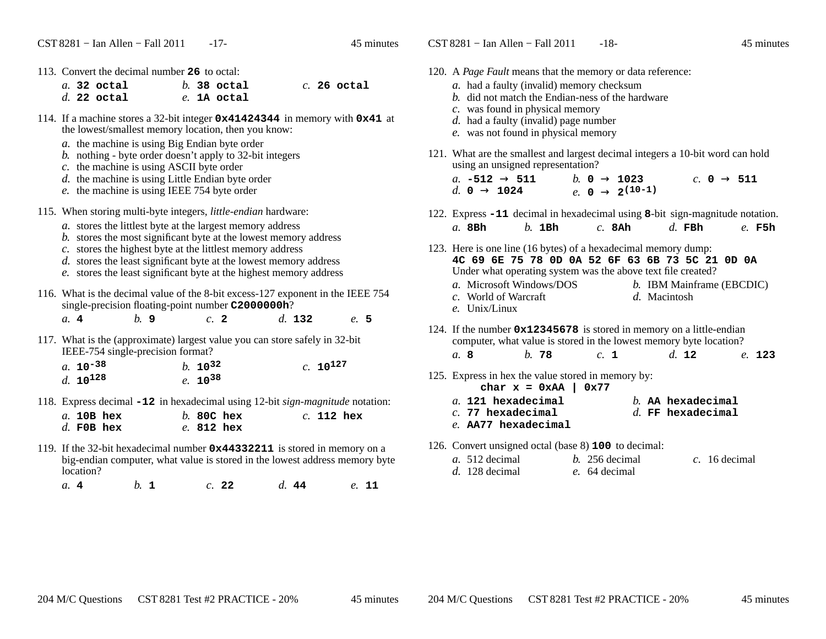CST 8281 – Ian Allen – Fall 2011 - 18- 45 minutes

| 113. Convert the decimal number 26 to octal:                                                                                                                                                                                                                             |                                 |               |               | 12 |
|--------------------------------------------------------------------------------------------------------------------------------------------------------------------------------------------------------------------------------------------------------------------------|---------------------------------|---------------|---------------|----|
| $a.$ 32 octal<br>$d.$ 22 octal                                                                                                                                                                                                                                           | $b.$ 38 octal<br>$e$ . 1A octal |               | $c.$ 26 octal |    |
| 114. If a machine stores a 32-bit integer $0 \times 41424344$ in memory with $0 \times 41$ at<br>the lowest/smallest memory location, then you know:<br>a. the machine is using Big Endian byte order                                                                    |                                 |               |               |    |
| b. nothing - byte order doesn't apply to 32-bit integers<br>c. the machine is using ASCII byte order<br>$d.$ the machine is using Little Endian byte order<br>e. the machine is using IEEE 754 byte order                                                                |                                 |               |               | 12 |
| 115. When storing multi-byte integers, <i>little-endian</i> hardware:<br>a. stores the littlest byte at the largest memory address                                                                                                                                       |                                 |               |               | 12 |
| b. stores the most significant byte at the lowest memory address<br>c. stores the highest byte at the littlest memory address<br>d. stores the least significant byte at the lowest memory address<br>e. stores the least significant byte at the highest memory address |                                 |               |               | 12 |
| 116. What is the decimal value of the 8-bit excess-127 exponent in the IEEE 754<br>single-precision floating-point number C2000000h?                                                                                                                                     |                                 |               |               |    |
| $h$ . 9<br>a.4                                                                                                                                                                                                                                                           | $c1$ 2                          | $d.$ 132      | e. 5          | 12 |
| 117. What is the (approximate) largest value you can store safely in 32-bit<br>IEEE-754 single-precision format?                                                                                                                                                         |                                 |               |               |    |
| a. $10^{-38}$<br>$d. 10^{128}$                                                                                                                                                                                                                                           | $h. 10^{32}$<br>$e. 10^{38}$    | $c. 10^{127}$ |               | 12 |
| 118. Express decimal -12 in hexadecimal using 12-bit <i>sign-magnitude</i> notation:                                                                                                                                                                                     |                                 |               |               |    |
| a. 10B hex<br>$d$ . FOB hex                                                                                                                                                                                                                                              | $b.80C$ hex<br>$e.$ 812 hex     | $c.$ 112 hex  |               |    |
| 110. If the 22 bit householder pumps on 0-44220011 is stored in moment on a                                                                                                                                                                                              |                                 |               |               | 12 |

119. If the 32-bit hexadecimal number **0x44332211** is stored in memory on a big-endian computer, what value is stored in the lowest address memory bytelocation?

*a.* **<sup>4</sup>***b.* **<sup>1</sup>** *c.* **<sup>22</sup>** *d.* **<sup>44</sup>** *e.* **<sup>11</sup>**

| 120. A <i>Page Fault</i> means that the memory or data reference:<br>a. had a faulty (invalid) memory checksum<br>b. did not match the Endian-ness of the hardware<br>$c$ . was found in physical memory                                                                                            |  |
|-----------------------------------------------------------------------------------------------------------------------------------------------------------------------------------------------------------------------------------------------------------------------------------------------------|--|
| d. had a faulty (invalid) page number<br>e. was not found in physical memory                                                                                                                                                                                                                        |  |
| 121. What are the smallest and largest decimal integers a 10-bit word can hold<br>using an unsigned representation?<br><i>a</i> . $-512 \rightarrow 511$ <i>b</i> . 0 $\rightarrow 1023$<br>c. 0 $\rightarrow$ 511<br>e. 0 $\rightarrow$ 2 <sup>(10-1)</sup><br>d. $0 \rightarrow 1024$             |  |
|                                                                                                                                                                                                                                                                                                     |  |
| 122. Express -11 decimal in hexadecimal using 8-bit sign-magnitude notation.<br>$h$ 1Bh<br>$d$ . FBh<br>$c.$ 8Ah<br>$a.$ 8Bh<br>e. F5h                                                                                                                                                              |  |
| 123. Here is one line (16 bytes) of a hexadecimal memory dump:<br>4C 69 6E 75 78 0D 0A 52 6F 63 6B 73 5C 21 0D 0A<br>Under what operating system was the above text file created?<br>a. Microsoft Windows/DOS<br>b. IBM Mainframe (EBCDIC)<br>c. World of Warcraft<br>d. Macintosh<br>e. Unix/Linux |  |
| 124. If the number $0x12345678$ is stored in memory on a little-endian<br>computer, what value is stored in the lowest memory byte location?                                                                                                                                                        |  |
| $h$ . 78<br>d. 12<br>c. 1<br>a. 8<br>e. 123                                                                                                                                                                                                                                                         |  |
| 125. Express in hex the value stored in memory by:<br>char $x = 0xAA$   0x77                                                                                                                                                                                                                        |  |
| $a.$ 121 hexadecimal<br>$b.$ AA hexadecimal<br>$d$ . FF hexadecimal<br>$c.$ 77 hexadecimal<br>e. AA77 hexadecimal                                                                                                                                                                                   |  |
|                                                                                                                                                                                                                                                                                                     |  |

126. Convert unsigned octal (base 8) **<sup>100</sup>** to decimal:

| <i>a.</i> 512 decimal | $b. 256$ decimal | c. 16 decimal |
|-----------------------|------------------|---------------|
| $d.$ 128 decimal      | e. 64 decimal    |               |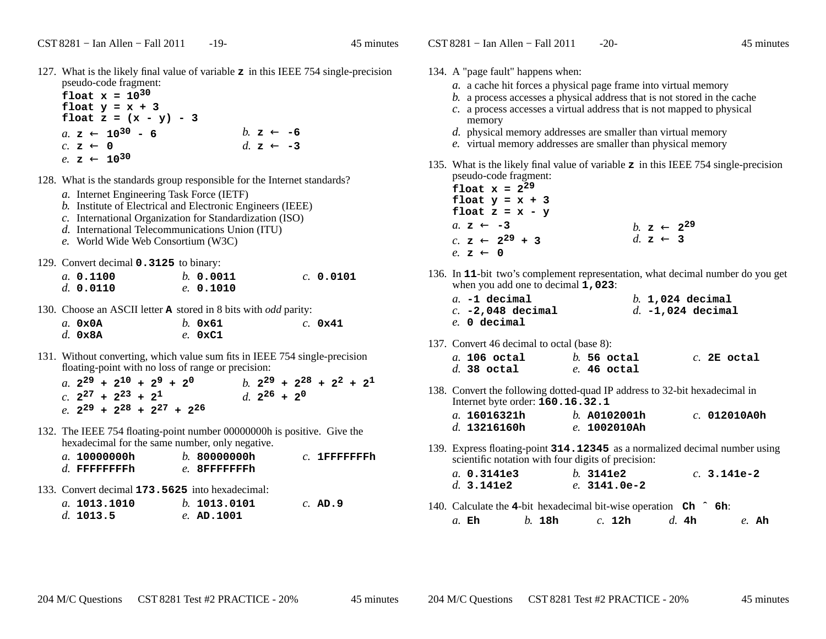127. What is the likely final value of variable **<sup>z</sup>** in this IEEE 754 single-precision pseudo-code fragment:

**float**  $x = 10^{30}$  **float y = x + 3 float z = (x - y) - 3** $a. \ z \leftarrow 10^{30} - 6$  **b.**  $z \leftarrow -6$  **c**  $z \leftarrow -3$ *c.* **<sup>z</sup>** <sup>←</sup> $d.$  **z**  $\leftarrow$  -3 *e.* **<sup>z</sup>** <sup>←</sup> **<sup>10</sup><sup>30</sup>**

- 128. What is the standards group responsible for the Internet standards?
	- *a.* Internet Engineering Task Force (IETF)
	- *b.* Institute of Electrical and Electronic Engineers (IEEE)
	- *c.* International Organization for Standardization (ISO)
	- *d.* International Telecommunications Union (ITU)
	- *e.* World Wide Web Consortium (W3C)

129. Convert decimal **0.3125** to binary:

| a. 0.1100 | b. 0.0011 | $c.$ 0.0101 |
|-----------|-----------|-------------|
| d. 0.0110 | e. 0.1010 |             |

130. Choose an ASCII letter **<sup>A</sup>** stored in 8 bits with *odd* parity:

| $a.$ $0 \times 0$ A | $h.$ 0 $\times$ 61 | $c.$ 0x41 |
|---------------------|--------------------|-----------|
| $d.$ 0x8A           | $e.$ 0xC1          |           |

131. Without converting, which value sum fits in IEEE 754 single-precisionfloating-point with no loss of range or precision:

a.  $2^{29} + 2^{10} + 2^9 + 2^0$  b.  $2^{29} + 2^{28} + 2^2 + 2^1$  $c.$  **2**<sup>27</sup> + **2**<sup>23</sup> + **2**<sup>1</sup> *d.* **2**<sup>26</sup> + **2**<sup>0</sup> *e.* **<sup>2</sup><sup>29</sup> <sup>+</sup> <sup>2</sup><sup>28</sup> <sup>+</sup> <sup>2</sup><sup>27</sup> <sup>+</sup> <sup>2</sup><sup>26</sup>**

132. The IEEE 754 floating-point number 00000000h is positive. Give the hexadecimal for the same number, only negative.

| <i>a</i> . 10000000h | b.80000000h   | $c.$ 1FFFFFFFFh |
|----------------------|---------------|-----------------|
| $d.$ FFFFFFFFh       | e. 8FFFFFFFFh |                 |
|                      |               |                 |

133. Convert decimal **173.5625** into hexadecimal:

| a. 1013.1010 | b. 1013.0101 | $c.$ AD.9 |
|--------------|--------------|-----------|
| d. 1013.5    | $e.$ AD.1001 |           |

- 134. A "page fault" happens when:
	- *a.* <sup>a</sup> cache hit forces a physical page frame into virtual memory
	- *b.* <sup>a</sup> process accesses a physical address that is not stored in the cache
	- *c.* <sup>a</sup> process accesses a virtual address that is not mapped to physicalmemory
	- *d.* physical memory addresses are smaller than virtual memory
	- *e.* virtual memory addresses are smaller than physical memory
- 135. What is the likely final value of variable **<sup>z</sup>** in this IEEE 754 single-precision pseudo-code fragment:

| float $x = 2^{29}$<br>float $y = x + 3$<br>float $z = x - y$ |                                 |
|--------------------------------------------------------------|---------------------------------|
| a. $z \leftarrow -3$                                         | <i>b.</i> $z \leftarrow 2^{29}$ |
| c. $z \leftarrow 2^{29} + 3$                                 | d $z \leftarrow 3$              |
| e. $z \leftarrow 0$                                          |                                 |

136. In **<sup>11</sup>**-bit two's complement representation, what decimal number do you get when you add one to decimal **1,023**:

| $a. -1$ decimal     |  | $b.$ 1,024 decimal  |
|---------------------|--|---------------------|
| $c. -2.048$ decimal |  | $d. -1.024$ decimal |
| $e.$ 0 decimal      |  |                     |

137. Convert 46 decimal to octal (base 8):

| $a.$ 106 octal |  | $b.$ 56 octal |  | $c.$ 2E octal |
|----------------|--|---------------|--|---------------|
| $d.$ 38 octal  |  | $e.$ 46 octal |  |               |

138. Convert the following dotted-quad IP address to 32-bit hexadecimal inInternet byte order: **160.16.32.1**

| a. 16016321h | $h.$ A0102001h | $c.$ 012010A0h |
|--------------|----------------|----------------|
| d. 13216160h | e. 1002010Ah   |                |

139. Express floating-point **314.12345** as a normalized decimal number using scientific notation with four digits of precision:

| $a.$ 0.3141e3 | h. 3141e2      | $c. 3.141e-2$ |
|---------------|----------------|---------------|
| $d.$ 3.141e2  | $e.$ 3141.0e-2 |               |

140. Calculate the **<sup>4</sup>**-bit hexadecimal bit-wise operation **Ch ˆ 6h**: *a.* **Eh***b.* **18h** *c.* **12h** *d.* **4h** *e.* **Ah**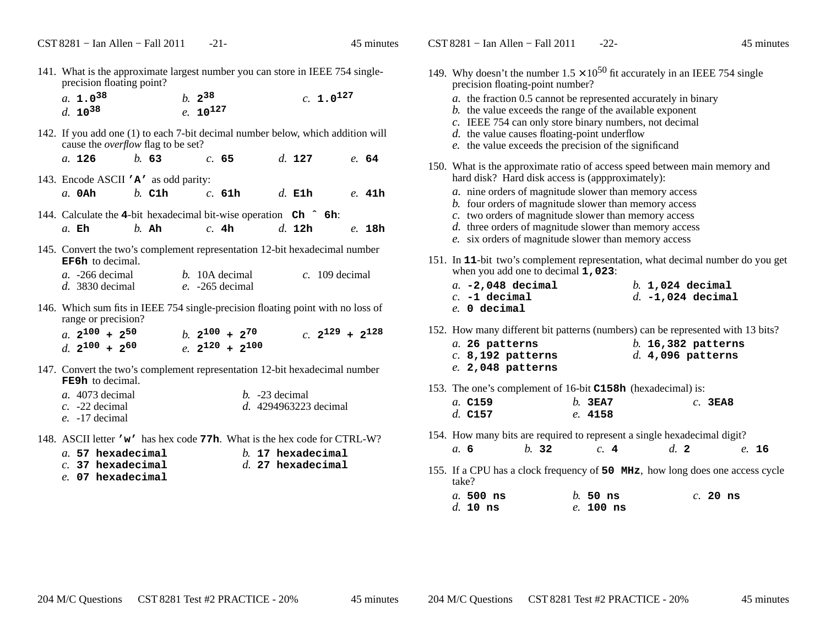| 141. What is the approximate largest number you can store in IEEE 754 single-<br>precision floating point?                                                                                                                                   | $\mathbf{1}$ |
|----------------------------------------------------------------------------------------------------------------------------------------------------------------------------------------------------------------------------------------------|--------------|
| a. $1.0^{38}$<br>$c. 1.0^{127}$<br>$b. 2^{38}$<br>d. $10^{38}$<br>$e. 10^{127}$                                                                                                                                                              |              |
| 142. If you add one (1) to each 7-bit decimal number below, which addition will<br>cause the <i>overflow</i> flag to be set?<br>a. $126$ b. 63<br>$d.$ 127<br>c. 65<br>e. 64                                                                 |              |
| 143. Encode ASCII 'A' as odd parity:<br>b. C1h c. 61h d. E1h e. 41h<br>$a.$ OAh $\overline{\phantom{a}}$                                                                                                                                     | $\mathbf{1}$ |
| 144. Calculate the 4-bit hexadecimal bit-wise operation Ch $\hat{h}$ 6h:<br>d. 12h<br>$b$ . Ah<br>c. 4h<br>$a$ . Eh<br>e. 18h                                                                                                                |              |
| 145. Convert the two's complement representation 12-bit hexadecimal number<br><b>EF6h</b> to decimal.<br>$a. -266$ decimal<br>$b.$ 10A decimal<br>$c.$ 109 decimal<br>$d.$ 3830 decimal<br>$e. -265$ decimal                                 | $\mathbf{1}$ |
| 146. Which sum fits in IEEE 754 single-precision floating point with no loss of<br>range or precision?<br>a. $2^{100} + 2^{50}$<br>$c. 2^{129} + 2^{128}$<br>$h$ , $2^{100}$ + $2^{70}$<br>d. $2^{100}$ + $2^{60}$<br>$e. 2^{120} + 2^{100}$ | $\mathbf{1}$ |
| 147. Convert the two's complement representation 12-bit hexadecimal number<br><b>FE9h</b> to decimal.<br>a. 4073 decimal<br>$b. -23$ decimal<br>$c. -22$ decimal<br>d. 4294963223 decimal<br>$e. -17$ decimal                                | $\mathbf{1}$ |
| 148. ASCII letter 'w' has hex code 77h. What is the hex code for CTRL-W?<br>a. 57 hexadecimal<br>$b.$ 17 hexadecimal<br>$d.$ 27 hexadecimal<br>$c.$ 37 hexadecimal                                                                           | $\mathbf{1}$ |

- *c.* **37 hexadecimal**
- *e.* **07 hexadecimal**

149. Why doesn't the number  $1.5 \times 10^{50}$  fit accurately in an IEEE 754 single precision floating-point number?*a.* the fraction 0.5 cannot be represented accurately in binary*b.* the value exceeds the range of the available exponent *c.* IEEE 754 can only store binary numbers, not decimal*d.* the value causes floating-point underflow *e.* the value exceeds the precision of the significand150. What is the approximate ratio of access speed between main memory andhard disk? Hard disk access is (appproximately):*a.* nine orders of magnitude slower than memory access *b.* four orders of magnitude slower than memory access *c.* two orders of magnitude slower than memory access *d.* three orders of magnitude slower than memory access*e.* six orders of magnitude slower than memory access151. In **<sup>11</sup>**-bit two's complement representation, what decimal number do you get when you add one to decimal **1,023**: *a.* **-2,048 decimal** *b.* **1,024 decimal** *c.* **-1 decimal** *d.* **-1,024 decimal** *e.* **<sup>0</sup> decimal** 152. How many different bit patterns (numbers) can be represented with 13 bits?*a.* **26 patterns** *b.* **16,382 patterns** *c.* **8,192 patterns** *d.* **4,096 patterns** *e.* **2,048 patterns**153. The one's complement of 16-bit **C158h** (hexadecimal) is:

| a. C159   | $h.$ 3EA7 | $c.$ 3EA8 |
|-----------|-----------|-----------|
| $d.$ C157 | e. 4158   |           |

154. How many bits are required to represent a single hexadecimal digit?

*b.* **<sup>32</sup>** *c.* **<sup>4</sup>** *d.* **<sup>2</sup>** *e.* **<sup>16</sup>**

155. If <sup>a</sup> CPU has a clock frequency of **50 MHz**, how long does one access cycletake?

| $a$ . 500 ns | $h.50$ ns    | $c.$ 20 ns |  |
|--------------|--------------|------------|--|
| $d$ . 10 ns  | $e$ . 100 ns |            |  |

*a.* **6**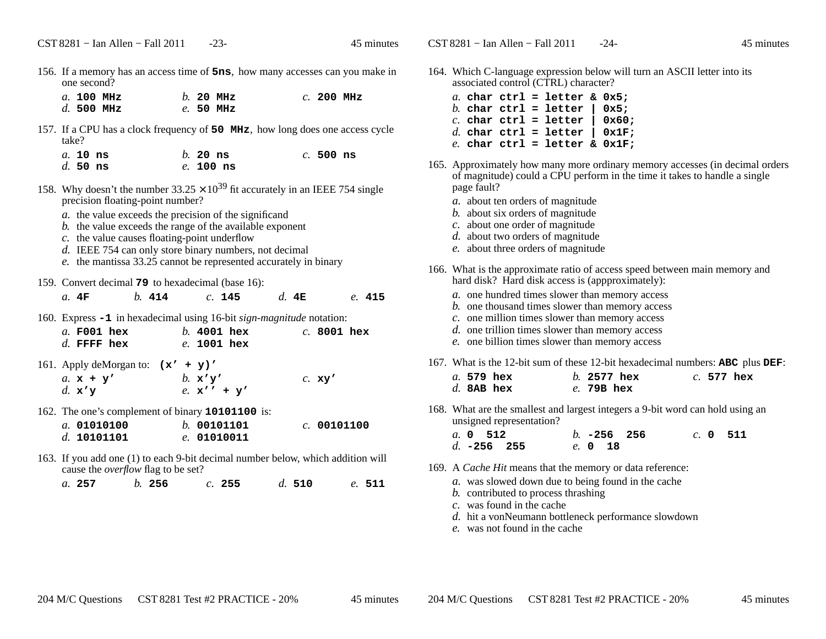156. If <sup>a</sup> memory has an access time of **5ns**, how many accesses can you make inone second?

|  | $a.$ 100 MHz |  | $h$ . 20 MHz | $c.$ 200 MHz |  |
|--|--------------|--|--------------|--------------|--|
|  | $d.500$ MHz  |  | $e.50$ MHz   |              |  |

- 157. If <sup>a</sup> CPU has a clock frequency of **50 MHz**, how long does one access cycletake?
	- *a.* **10 ns** *b.* **20 ns** *c.* **500 ns** *d.* **50 ns***e.* **100 ns**
- 158. Why doesn't the number  $33.25 \times 10^{39}$  fit accurately in an IEEE 754 single precision floating-point number?
	- *a.* the value exceeds the precision of the significand
	- *b.* the value exceeds the range of the available exponent
	- *c.* the value causes floating-point underflow
	- *d.* IEEE 754 can only store binary numbers, not decimal
	- *e.* the mantissa 33.25 cannot be represented accurately in binary
- 159. Convert decimal **79** to hexadecimal (base 16):

| a. 4F                                                                                   | $b.$ 414 |                                          | $c.$ 145                        | d. 4E |               | e. 415 |
|-----------------------------------------------------------------------------------------|----------|------------------------------------------|---------------------------------|-------|---------------|--------|
| 160. Express -1 in hexadecimal using 16-bit <i>sign-magnitude</i> notation:             |          |                                          |                                 |       |               |        |
| $a.$ F001 hex<br>$d.$ FFFF hex                                                          |          |                                          | $b.$ 4001 hex<br>$e$ . 1001 hex |       | $c.$ 8001 hex |        |
| 161. Apply deMorgan to: $(x' + y)'$<br>a. $x + y'$<br>d. $\mathbf{x} \prime \mathbf{y}$ |          | b. $\mathbf{x} \prime \mathbf{y} \prime$ | e. $x'' + y'$                   |       | $c.$ xy'      |        |
| 162. The one's complement of binary 10101100 is:                                        |          |                                          |                                 |       |               |        |

- *a.* **01010100** *b.* **<sup>00101101</sup>** *c.* **<sup>00101100</sup>** *d.* **10101101***e.* **<sup>01010011</sup>**
- 163. If you add one (1) to each 9-bit decimal number below, which addition will cause the *overflow* flag to be set?

*a.* **257***b.* **<sup>256</sup>** *c.* **<sup>255</sup>** *d.* **<sup>510</sup>** *e.* **<sup>511</sup>**

- 164. Which C-language expression below will turn an ASCII letter into its associated control (CTRL) character?
	- *a.* **char ctrl = letter & 0x5;** $0x5$ : *b.* **char ctrl = letter | 0x5;** $0x60:$ *c.* **char ctrl = letter | 0x60;** $0x1F$ : *d.* **char ctrl = letter | 0x1F;***e.* **char ctrl = letter & 0x1F;**
- 165. Approximately how many more ordinary memory accesses (in decimal orders of magnitude) could a CPU perform in the time it takes to handle a singlepage fault?
	- *a.* about ten orders of magnitude
	- *b.* about six orders of magnitude
	- *c.* about one order of magnitude
	- *d.* about two orders of magnitude
	- *e.* about three orders of magnitude
- 166. What is the approximate ratio of access speed between main memory andhard disk? Hard disk access is (appproximately):
	- *a.* one hundred times slower than memory access
	- *b.* one thousand times slower than memory access
	- *c.* one million times slower than memory access
	- *d.* one trillion times slower than memory access
	- *e.* one billion times slower than memory access
- 167. What is the 12-bit sum of these 12-bit hexadecimal numbers: **ABC** <sup>p</sup>lus **DEF**:

|  | $a.579$ hex  | $h.$ 2577 hex |  | $c.577$ hex |
|--|--------------|---------------|--|-------------|
|  | $d.$ 8AB hex | e. 79B hex    |  |             |

168. What are the smallest and largest integers a 9-bit word can hold using anunsigned representation?

| <i>a</i> . 0 512 |                    |  |         | $h. -256$ 256 |  | c. 0 511 |
|------------------|--------------------|--|---------|---------------|--|----------|
|                  | d. <b>-256</b> 255 |  | e. 0 18 |               |  |          |

- 169. A *Cache Hit* means that the memory or data reference:
	- *a.* was slowed down due to being found in the cache
	- *b.* contributed to process thrashing
	- *c.* was found in the cache
	- *d.* hit a vonNeumann bottleneck performance slowdown
	- *e.* was not found in the cache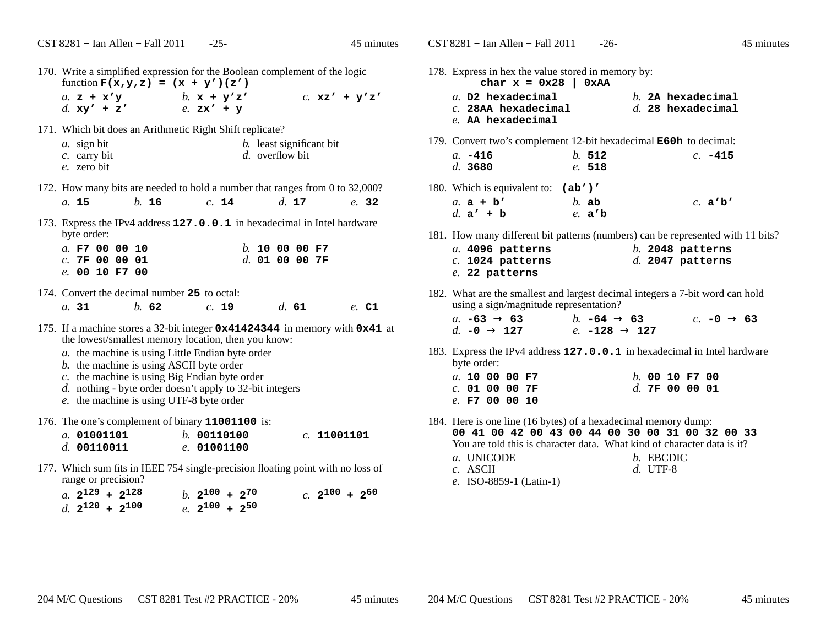| 170. Write a simplified expression for the Boolean complement of the logic<br>function $F(x,y,z) = (x + y') (z')$                                                                                                                                                                                                                                                                              |  |  |  |  |
|------------------------------------------------------------------------------------------------------------------------------------------------------------------------------------------------------------------------------------------------------------------------------------------------------------------------------------------------------------------------------------------------|--|--|--|--|
| a. $z + x'y$<br>b. $x + y'z'$<br>$c.$ xz' + y'z'<br>d. $xy'$ + z'<br>$e.$ $zx' + y$                                                                                                                                                                                                                                                                                                            |  |  |  |  |
| 171. Which bit does an Arithmetic Right Shift replicate?<br>a. sign bit<br><i>b</i> . least significant bit<br>d. overflow bit<br>$c$ . carry bit<br>e. zero bit                                                                                                                                                                                                                               |  |  |  |  |
| 172. How many bits are needed to hold a number that ranges from 0 to 32,000?                                                                                                                                                                                                                                                                                                                   |  |  |  |  |
| b. 16<br>d. 17<br>a. 15<br>c. 14<br>e. 32                                                                                                                                                                                                                                                                                                                                                      |  |  |  |  |
| 173. Express the IPv4 address 127.0.0.1 in hexadecimal in Intel hardware<br>byte order:                                                                                                                                                                                                                                                                                                        |  |  |  |  |
| a. F7 00 00 10<br>$b.$ 10 00 00 F7<br>c.7F000001<br>$d.$ 01 00 00 7F                                                                                                                                                                                                                                                                                                                           |  |  |  |  |
| e. 0010 F700                                                                                                                                                                                                                                                                                                                                                                                   |  |  |  |  |
| 174. Convert the decimal number 25 to octal:                                                                                                                                                                                                                                                                                                                                                   |  |  |  |  |
| c. 19<br>h.62<br>$d_{\rm c}$ 61<br>a.31<br>e. C1                                                                                                                                                                                                                                                                                                                                               |  |  |  |  |
| 175. If a machine stores a 32-bit integer 0x41424344 in memory with 0x41 at<br>the lowest/smallest memory location, then you know:<br>a. the machine is using Little Endian byte order<br>b. the machine is using ASCII byte order<br>$c$ . the machine is using Big Endian byte order<br>d. nothing - byte order doesn't apply to 32-bit integers<br>e. the machine is using UTF-8 byte order |  |  |  |  |
| 176. The one's complement of binary 11001100 is:                                                                                                                                                                                                                                                                                                                                               |  |  |  |  |
| a. 01001101<br>b.00110100<br>c. 11001101<br>$d.$ 00110011<br>e. 01001100                                                                                                                                                                                                                                                                                                                       |  |  |  |  |
| 177. Which sum fits in IEEE 754 single-precision floating point with no loss of<br>range or precision?                                                                                                                                                                                                                                                                                         |  |  |  |  |

| a. $2^{129}$ + $2^{128}$ |  | b. $2^{100}$ + $2^{70}$ |  |  | $c. 2^{100} + 2^{60}$ |  |
|--------------------------|--|-------------------------|--|--|-----------------------|--|
| d. $2^{120}$ + $2^{100}$ |  | e. $2^{100}$ + $2^{50}$ |  |  |                       |  |

| 178. Express in hex the value stored in memory by:<br>char $x = 0x28$   0xAA<br>a. D2 hexadecimal<br>$c.$ 28AA hexadecimal<br>e. AA hexadecimal |                 | $b.$ 2A hexadecimal<br>$d.$ 28 hexadecimal                                                                                                            |
|-------------------------------------------------------------------------------------------------------------------------------------------------|-----------------|-------------------------------------------------------------------------------------------------------------------------------------------------------|
| 179. Convert two's complement 12-bit hexadecimal <b>E60h</b> to decimal:<br>$a. -416$<br>d. 3680                                                | b.512<br>e. 518 | $c. -415$                                                                                                                                             |
| 180. Which is equivalent to: (ab')'<br>a. $a + b'$<br>$b.$ ab<br>d. $a' + b$                                                                    | e. a'b          | c. $a'b'$                                                                                                                                             |
| a. 4096 patterns<br>$c.$ 1024 patterns<br>$e.$ 22 patterns                                                                                      |                 | 181. How many different bit patterns (numbers) can be represented with 11 bits?<br>$b.$ 2048 patterns<br>$d.$ 2047 patterns                           |
| using a sign/magnitude representation?<br>a. $-63 \rightarrow 63$ b. $-64 \rightarrow 63$<br>d. $-0 \rightarrow 127$ e. $-128 \rightarrow 127$  |                 | 182. What are the smallest and largest decimal integers a 7-bit word can hold<br>c. $-0 \rightarrow 63$                                               |
| byte order:<br>a. 100000F7<br>$c.$ 01 00 00 7F<br>$e.$ F7 00 00 10                                                                              |                 | 183. Express the IPv4 address 127.0.0.1 in hexadecimal in Intel hardware<br>$b.0010$ F7 00<br>d.7F000001                                              |
| 184. Here is one line (16 bytes) of a hexadecimal memory dump:<br>a. UNICODE<br>$c.$ ASCII                                                      |                 | 00 41 00 42 00 43 00 44 00 30 00 31 00 32 00 33<br>You are told this is character data. What kind of character data is it?<br>b. EBCDIC<br>$d. UTF-8$ |

*e.* ISO-8859-1 (Latin-1)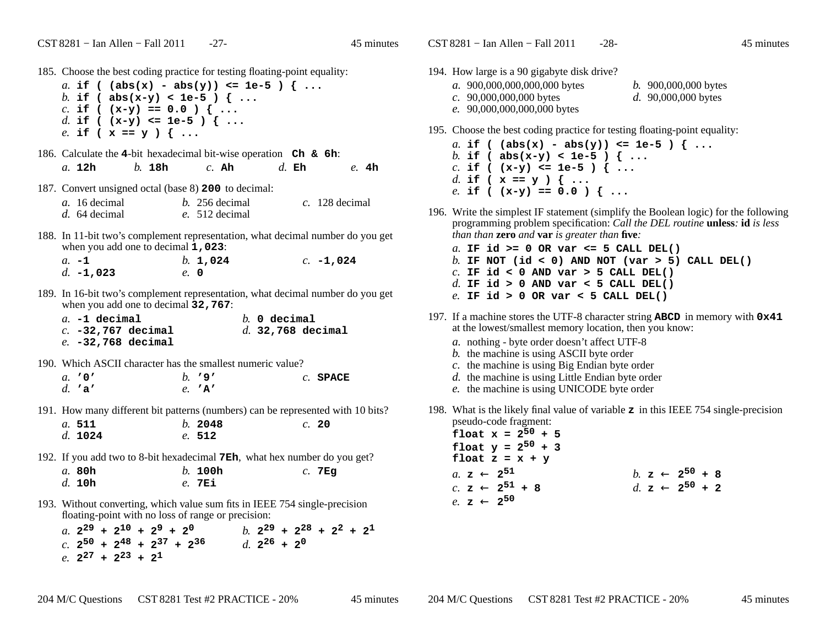- 185. Choose the best coding practice for testing floating-point equality:
	- *a.* **if ( (abs(x) abs(y)) <= 1e-5 ) { ...***b.* **if ( abs(x-y) < 1e-5 ) { ...***c.* **if ( (x-y) == 0.0 ) { ...** *d.* **if ( (x-y) <= 1e-5 ) { ...***e.* **if ( x == y ) { ...**
- 186. Calculate the **<sup>4</sup>**-bit hexadecimal bit-wise operation **Ch & 6h**: *a.* **12h***b.* **18h** *c.* **Ah** *d.* **Eh** *e.* **4h**
- 187. Convert unsigned octal (base 8) **<sup>200</sup>** to decimal:

| a. 16 decimal | $b. 256$ decimal | $c.$ 128 decimal |
|---------------|------------------|------------------|
| d. 64 decimal | e. 512 decimal   |                  |

- 188. In 11-bit two's complement representation, what decimal number do you get when you add one to decimal **1,023**:
	- *a.* **-1** *b.* **1,024** *c.* **-1,024** *d.* **-1,023***e.* **<sup>0</sup>**
- 189. In 16-bit two's complement representation, what decimal number do you get when you add one to decimal **32,767**:

| $a. -1$ decimal      |  | $b.$ 0 decimal |                     |
|----------------------|--|----------------|---------------------|
| c. $-32,767$ decimal |  |                | $d.$ 32,768 decimal |
| $e. -32,768$ decimal |  |                |                     |

190. Which ASCII character has the smallest numeric value?

| $a.$ '0' |  | $h.$ '9'        | $c.$ SPACE |
|----------|--|-----------------|------------|
| d. 'a'   |  | $e. \mathbf{A}$ |            |

191. How many different bit patterns (numbers) can be represented with 10 bits?

*a.* **511** *b.* **<sup>2048</sup>** *c.* **<sup>20</sup>** *d.* **1024***e.* **<sup>512</sup>**

- 192. If you add two to 8-bit hexadecimal **7Eh**, what hex number do you get?*a.* **80h** *b.* **100h** *c.* **7Eg** *d.* **10h***e.* **7Ei**
- 193. Without converting, which value sum fits in IEEE 754 single-precisionfloating-point with no loss of range or precision:

a.  $2^{29} + 2^{10} + 2^9 + 2^0$ <br>
c.  $2^{50} + 2^{48} + 2^{37} + 2^{36}$ <br>
b.  $2^{29} + 2^{28} + 2^2 + 2^1$ <br>
d.  $2^{26} + 2^0$ *e.* **<sup>2</sup><sup>27</sup> <sup>+</sup> <sup>2</sup><sup>23</sup> <sup>+</sup> <sup>2</sup><sup>1</sup>**

- 194. How large is a 90 gigabyte disk drive?
	- *a.* 900,000,000,000,000 bytes*c.* 90,000,000,000 bytes*e.* 90,000,000,000,000 bytes
- *b.* 900,000,000 bytes
- *d.* 90,000,000 bytes
- 195. Choose the best coding practice for testing floating-point equality:
	- *a.* **if ( (abs(x) abs(y)) <= 1e-5 ) { ...***b.* **if ( abs(x-y) < 1e-5 ) { ...***c.* **if ( (x-y) <= 1e-5 ) { ...***d.* **if ( x == y ) { ...***e.* **if ( (x-y) == 0.0 ) { ...**
- 196. Write the simplest IF statement (simplify the Boolean logic) for the followingprogramming problem specification: *Call the DEL routine* **unless***:* **id** *is less than than* **zero** *and* **var** *is greater than* **five***:*
	- *a.* **IF id >= 0 OR var <= 5 CALL DEL()** *b.* **IF NOT (id < 0) AND NOT (var > 5) CALL DEL()***c.* **IF id < 0 AND var > 5 CALL DEL()** *d.* **IF id > 0 AND var < 5 CALL DEL()***e.* **IF id > 0 OR var < 5 CALL DEL()**
- 197. If <sup>a</sup> machine stores the UTF-8 character string **ABCD** in memory with **0x41** at the lowest/smallest memory location, then you know:
	- *a.* nothing byte order doesn't affect UTF-8
	- *b.* the machine is using ASCII byte order
	- *c.* the machine is using Big Endian byte order
	- *d.* the machine is using Little Endian byte order
	- *e.* the machine is using UNICODE byte order
- 198. What is the likely final value of variable **<sup>z</sup>** in this IEEE 754 single-precision pseudo-code fragment:

| float $x = 2^{50} + 5$       |
|------------------------------|
| float $y = 2^{50} + 3$       |
| float $z = x + y$            |
| $a. z \leftarrow 2^{51}$     |
| $c. z \leftarrow 2^{51} + 8$ |
| $e. z \leftarrow 2^{50}$     |

\n $b. z \leftarrow 2^{50} + 8$ 

\n $d. z \leftarrow 2^{50} + 2$